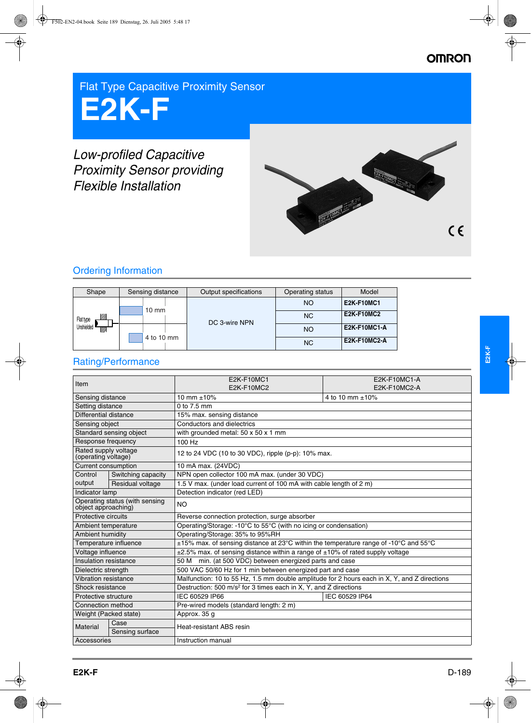## **OMRON**

Flat Type Capacitive Proximity Sensor

# **E2K-F**

# *Low-profiled Capacitive Proximity Sensor providing Flexible Installation*



## Ordering Information

| Shape                                          | Sensing distance | Output specifications | Operating status | Model               |
|------------------------------------------------|------------------|-----------------------|------------------|---------------------|
| <u>UMB</u><br>Flat type<br>Unshielded<br>VIII. | $10 \text{ mm}$  | DC 3-wire NPN         | <b>NO</b>        | <b>E2K-F10MC1</b>   |
|                                                |                  |                       | <b>NC</b>        | <b>E2K-F10MC2</b>   |
|                                                | 4 to 10 mm       |                       | <b>NO</b>        | <b>E2K-F10MC1-A</b> |
|                                                |                  |                       | <b>NC</b>        | <b>E2K-F10MC2-A</b> |

# Rating/Performance

| 10 mm $\pm 10\%$<br>4 to 10 mm ±10%<br>Sensing distance<br>0 to 7.5 mm<br>Setting distance<br>Differential distance<br>15% max. sensing distance<br>Conductors and dielectrics<br>Sensing object<br>Standard sensing object<br>with grounded metal: 50 x 50 x 1 mm<br>Response frequency<br>100 Hz<br>Rated supply voltage<br>12 to 24 VDC (10 to 30 VDC), ripple (p-p): 10% max.<br>(operating voltage)<br>Current consumption<br>10 mA max. (24VDC)<br>Switching capacity<br>NPN open collector 100 mA max. (under 30 VDC)<br>Control<br>output<br>1.5 V max. (under load current of 100 mA with cable length of 2 m)<br>Residual voltage<br>Detection indicator (red LED)<br>Indicator lamp<br>Operating status (with sensing<br><b>NO</b><br>object approaching)<br>Protective circuits<br>Reverse connection protection, surge absorber<br>Operating/Storage: -10°C to 55°C (with no icing or condensation)<br>Ambient temperature<br>Ambient humidity<br>Operating/Storage: 35% to 95%RH<br>Temperature influence<br>$\pm$ 15% max. of sensing distance at 23°C within the temperature range of -10°C and 55°C<br>$\pm 2.5\%$ max. of sensing distance within a range of $\pm 10\%$ of rated supply voltage<br>Voltage influence<br>Insulation resistance<br>min. (at 500 VDC) between energized parts and case<br>50 M<br>500 VAC 50/60 Hz for 1 min between energized part and case<br>Dielectric strength<br>Malfunction: 10 to 55 Hz, 1.5 mm double amplitude for 2 hours each in X, Y, and Z directions<br>Vibration resistance<br>Destruction: 500 m/s <sup>2</sup> for 3 times each in X, Y, and Z directions<br>Shock resistance | Item |  | <b>E2K-F10MC1</b><br>E2K-F10MC2 | <b>E2K-F10MC1-A</b><br>E2K-F10MC2-A |  |  |
|------------------------------------------------------------------------------------------------------------------------------------------------------------------------------------------------------------------------------------------------------------------------------------------------------------------------------------------------------------------------------------------------------------------------------------------------------------------------------------------------------------------------------------------------------------------------------------------------------------------------------------------------------------------------------------------------------------------------------------------------------------------------------------------------------------------------------------------------------------------------------------------------------------------------------------------------------------------------------------------------------------------------------------------------------------------------------------------------------------------------------------------------------------------------------------------------------------------------------------------------------------------------------------------------------------------------------------------------------------------------------------------------------------------------------------------------------------------------------------------------------------------------------------------------------------------------------------------------------------------------------------------------|------|--|---------------------------------|-------------------------------------|--|--|
|                                                                                                                                                                                                                                                                                                                                                                                                                                                                                                                                                                                                                                                                                                                                                                                                                                                                                                                                                                                                                                                                                                                                                                                                                                                                                                                                                                                                                                                                                                                                                                                                                                                |      |  |                                 |                                     |  |  |
|                                                                                                                                                                                                                                                                                                                                                                                                                                                                                                                                                                                                                                                                                                                                                                                                                                                                                                                                                                                                                                                                                                                                                                                                                                                                                                                                                                                                                                                                                                                                                                                                                                                |      |  |                                 |                                     |  |  |
|                                                                                                                                                                                                                                                                                                                                                                                                                                                                                                                                                                                                                                                                                                                                                                                                                                                                                                                                                                                                                                                                                                                                                                                                                                                                                                                                                                                                                                                                                                                                                                                                                                                |      |  |                                 |                                     |  |  |
|                                                                                                                                                                                                                                                                                                                                                                                                                                                                                                                                                                                                                                                                                                                                                                                                                                                                                                                                                                                                                                                                                                                                                                                                                                                                                                                                                                                                                                                                                                                                                                                                                                                |      |  |                                 |                                     |  |  |
|                                                                                                                                                                                                                                                                                                                                                                                                                                                                                                                                                                                                                                                                                                                                                                                                                                                                                                                                                                                                                                                                                                                                                                                                                                                                                                                                                                                                                                                                                                                                                                                                                                                |      |  |                                 |                                     |  |  |
|                                                                                                                                                                                                                                                                                                                                                                                                                                                                                                                                                                                                                                                                                                                                                                                                                                                                                                                                                                                                                                                                                                                                                                                                                                                                                                                                                                                                                                                                                                                                                                                                                                                |      |  |                                 |                                     |  |  |
|                                                                                                                                                                                                                                                                                                                                                                                                                                                                                                                                                                                                                                                                                                                                                                                                                                                                                                                                                                                                                                                                                                                                                                                                                                                                                                                                                                                                                                                                                                                                                                                                                                                |      |  |                                 |                                     |  |  |
|                                                                                                                                                                                                                                                                                                                                                                                                                                                                                                                                                                                                                                                                                                                                                                                                                                                                                                                                                                                                                                                                                                                                                                                                                                                                                                                                                                                                                                                                                                                                                                                                                                                |      |  |                                 |                                     |  |  |
|                                                                                                                                                                                                                                                                                                                                                                                                                                                                                                                                                                                                                                                                                                                                                                                                                                                                                                                                                                                                                                                                                                                                                                                                                                                                                                                                                                                                                                                                                                                                                                                                                                                |      |  |                                 |                                     |  |  |
|                                                                                                                                                                                                                                                                                                                                                                                                                                                                                                                                                                                                                                                                                                                                                                                                                                                                                                                                                                                                                                                                                                                                                                                                                                                                                                                                                                                                                                                                                                                                                                                                                                                |      |  |                                 |                                     |  |  |
|                                                                                                                                                                                                                                                                                                                                                                                                                                                                                                                                                                                                                                                                                                                                                                                                                                                                                                                                                                                                                                                                                                                                                                                                                                                                                                                                                                                                                                                                                                                                                                                                                                                |      |  |                                 |                                     |  |  |
|                                                                                                                                                                                                                                                                                                                                                                                                                                                                                                                                                                                                                                                                                                                                                                                                                                                                                                                                                                                                                                                                                                                                                                                                                                                                                                                                                                                                                                                                                                                                                                                                                                                |      |  |                                 |                                     |  |  |
|                                                                                                                                                                                                                                                                                                                                                                                                                                                                                                                                                                                                                                                                                                                                                                                                                                                                                                                                                                                                                                                                                                                                                                                                                                                                                                                                                                                                                                                                                                                                                                                                                                                |      |  |                                 |                                     |  |  |
|                                                                                                                                                                                                                                                                                                                                                                                                                                                                                                                                                                                                                                                                                                                                                                                                                                                                                                                                                                                                                                                                                                                                                                                                                                                                                                                                                                                                                                                                                                                                                                                                                                                |      |  |                                 |                                     |  |  |
|                                                                                                                                                                                                                                                                                                                                                                                                                                                                                                                                                                                                                                                                                                                                                                                                                                                                                                                                                                                                                                                                                                                                                                                                                                                                                                                                                                                                                                                                                                                                                                                                                                                |      |  |                                 |                                     |  |  |
|                                                                                                                                                                                                                                                                                                                                                                                                                                                                                                                                                                                                                                                                                                                                                                                                                                                                                                                                                                                                                                                                                                                                                                                                                                                                                                                                                                                                                                                                                                                                                                                                                                                |      |  |                                 |                                     |  |  |
|                                                                                                                                                                                                                                                                                                                                                                                                                                                                                                                                                                                                                                                                                                                                                                                                                                                                                                                                                                                                                                                                                                                                                                                                                                                                                                                                                                                                                                                                                                                                                                                                                                                |      |  |                                 |                                     |  |  |
|                                                                                                                                                                                                                                                                                                                                                                                                                                                                                                                                                                                                                                                                                                                                                                                                                                                                                                                                                                                                                                                                                                                                                                                                                                                                                                                                                                                                                                                                                                                                                                                                                                                |      |  |                                 |                                     |  |  |
|                                                                                                                                                                                                                                                                                                                                                                                                                                                                                                                                                                                                                                                                                                                                                                                                                                                                                                                                                                                                                                                                                                                                                                                                                                                                                                                                                                                                                                                                                                                                                                                                                                                |      |  |                                 |                                     |  |  |
|                                                                                                                                                                                                                                                                                                                                                                                                                                                                                                                                                                                                                                                                                                                                                                                                                                                                                                                                                                                                                                                                                                                                                                                                                                                                                                                                                                                                                                                                                                                                                                                                                                                |      |  |                                 |                                     |  |  |
|                                                                                                                                                                                                                                                                                                                                                                                                                                                                                                                                                                                                                                                                                                                                                                                                                                                                                                                                                                                                                                                                                                                                                                                                                                                                                                                                                                                                                                                                                                                                                                                                                                                |      |  |                                 |                                     |  |  |
| IEC 60529 IP66<br>IEC 60529 IP64<br>Protective structure                                                                                                                                                                                                                                                                                                                                                                                                                                                                                                                                                                                                                                                                                                                                                                                                                                                                                                                                                                                                                                                                                                                                                                                                                                                                                                                                                                                                                                                                                                                                                                                       |      |  |                                 |                                     |  |  |
| Connection method<br>Pre-wired models (standard length: 2 m)                                                                                                                                                                                                                                                                                                                                                                                                                                                                                                                                                                                                                                                                                                                                                                                                                                                                                                                                                                                                                                                                                                                                                                                                                                                                                                                                                                                                                                                                                                                                                                                   |      |  |                                 |                                     |  |  |
| Weight (Packed state)<br>Approx. 35 g                                                                                                                                                                                                                                                                                                                                                                                                                                                                                                                                                                                                                                                                                                                                                                                                                                                                                                                                                                                                                                                                                                                                                                                                                                                                                                                                                                                                                                                                                                                                                                                                          |      |  |                                 |                                     |  |  |
| Case<br>Material<br>Heat-resistant ABS resin<br>Sensing surface                                                                                                                                                                                                                                                                                                                                                                                                                                                                                                                                                                                                                                                                                                                                                                                                                                                                                                                                                                                                                                                                                                                                                                                                                                                                                                                                                                                                                                                                                                                                                                                |      |  |                                 |                                     |  |  |
| Instruction manual<br>Accessories                                                                                                                                                                                                                                                                                                                                                                                                                                                                                                                                                                                                                                                                                                                                                                                                                                                                                                                                                                                                                                                                                                                                                                                                                                                                                                                                                                                                                                                                                                                                                                                                              |      |  |                                 |                                     |  |  |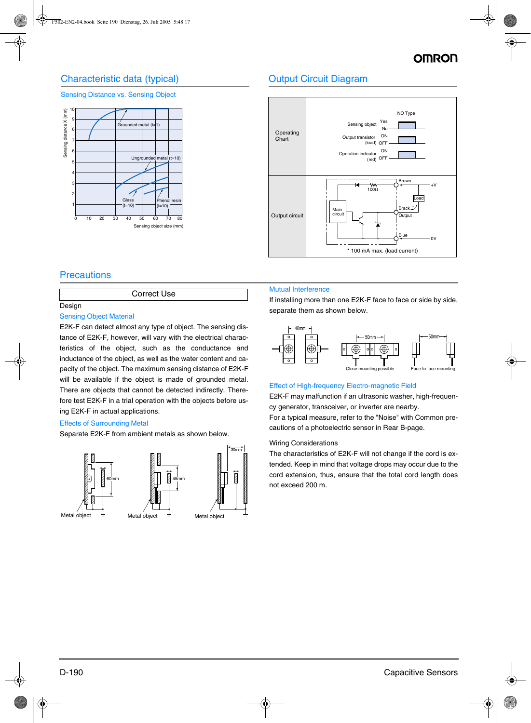## Characteristic data (typical)

#### Sensing Distance vs. Sensing Object



## Output Circuit Diagram



### **Precautions**

#### Correct Use

#### Design

#### Sensing Object Material

E2K-F can detect almost any type of object. The sensing distance of E2K-F, however, will vary with the electrical characteristics of the object, such as the conductance and inductance of the object, as well as the water content and capacity of the object. The maximum sensing distance of E2K-F will be available if the object is made of grounded metal. There are objects that cannot be detected indirectly. Therefore test E2K-F in a trial operation with the objects before using E2K-F in actual applications.

#### Effects of Surrounding Metal

Separate E2K-F from ambient metals as shown below.



#### Mutual Interference

If installing more than one E2K-F face to face or side by side, separate them as shown below.



#### Effect of High-frequency Electro-magnetic Field

E2K-F may malfunction if an ultrasonic washer, high-frequency generator, transceiver, or inverter are nearby.

For a typical measure, refer to the "Noise" with Common precautions of a photoelectric sensor in Rear B-page.

#### Wiring Considerations

The characteristics of E2K-F will not change if the cord is extended. Keep in mind that voltage drops may occur due to the cord extension, thus, ensure that the total cord length does not exceed 200 m.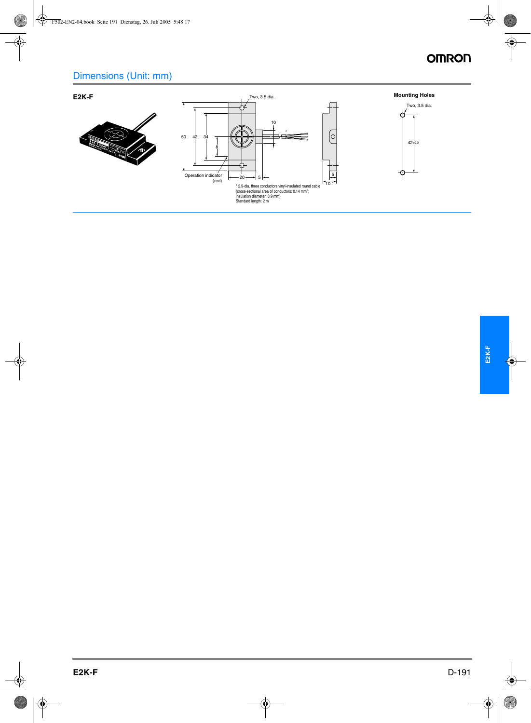# **OMRON**

# Dimensions (Unit: mm)